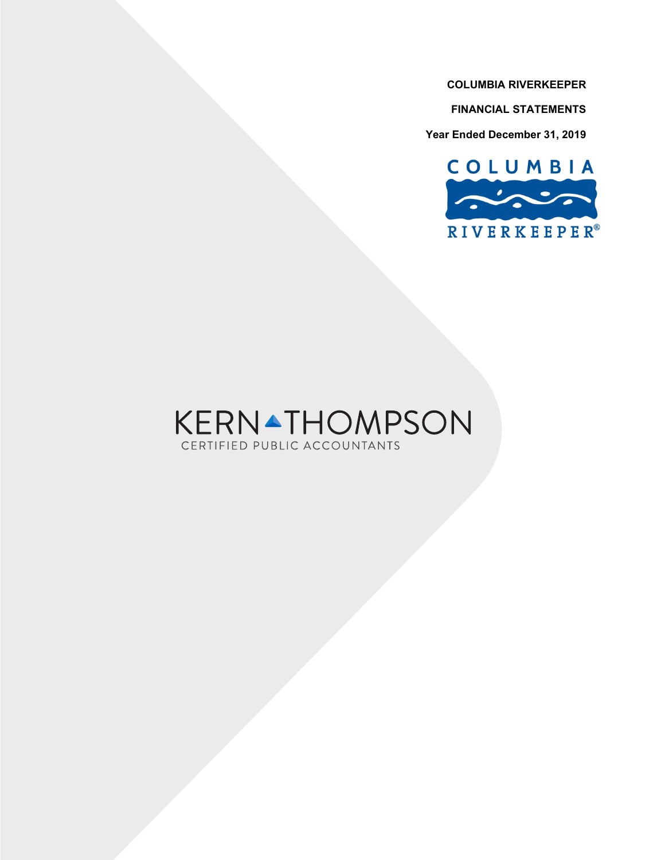**FINANCIAL STATEMENTS**

**Year Ended December 31, 2019**



# **KERNATHOMPSON** CERTIFIED PUBLIC ACCOUNTANTS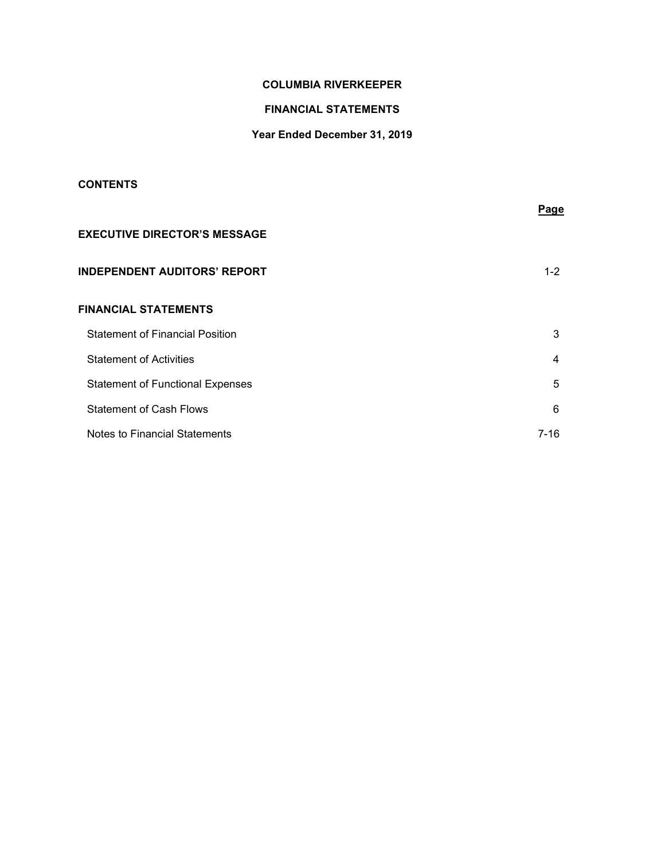# **FINANCIAL STATEMENTS**

# **Year Ended December 31, 2019**

# **CONTENTS**

|                                         | Page    |
|-----------------------------------------|---------|
| <b>EXECUTIVE DIRECTOR'S MESSAGE</b>     |         |
| <b>INDEPENDENT AUDITORS' REPORT</b>     | $1 - 2$ |
| <b>FINANCIAL STATEMENTS</b>             |         |
| <b>Statement of Financial Position</b>  | 3       |
| <b>Statement of Activities</b>          | 4       |
| <b>Statement of Functional Expenses</b> | 5       |
| <b>Statement of Cash Flows</b>          | 6       |
| Notes to Financial Statements           | 7-16    |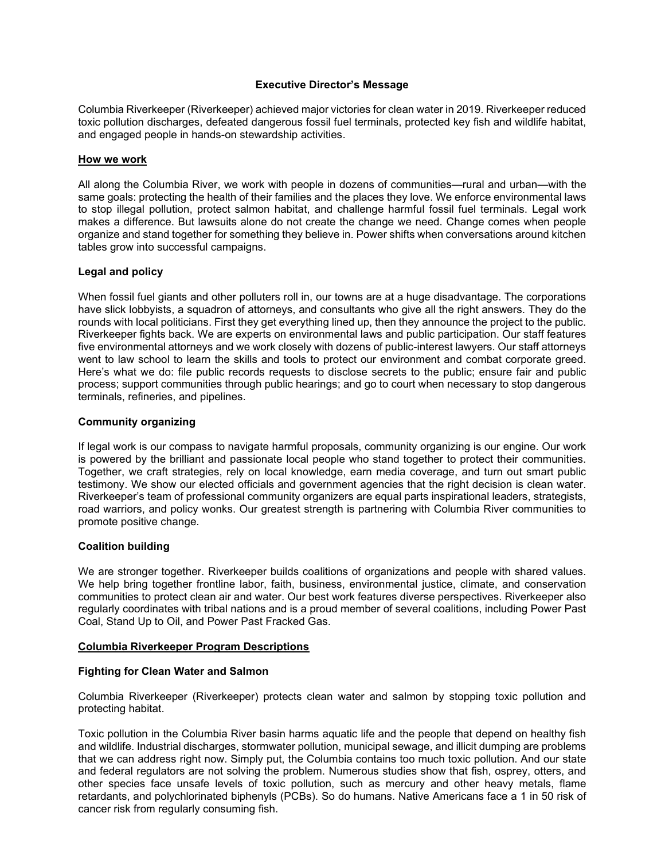# **Executive Director's Message**

Columbia Riverkeeper (Riverkeeper) achieved major victories for clean water in 2019. Riverkeeper reduced toxic pollution discharges, defeated dangerous fossil fuel terminals, protected key fish and wildlife habitat, and engaged people in hands-on stewardship activities.

## **How we work**

All along the Columbia River, we work with people in dozens of communities—rural and urban—with the same goals: protecting the health of their families and the places they love. We enforce environmental laws to stop illegal pollution, protect salmon habitat, and challenge harmful fossil fuel terminals. Legal work makes a difference. But lawsuits alone do not create the change we need. Change comes when people organize and stand together for something they believe in. Power shifts when conversations around kitchen tables grow into successful campaigns.

# **Legal and policy**

When fossil fuel giants and other polluters roll in, our towns are at a huge disadvantage. The corporations have slick lobbyists, a squadron of attorneys, and consultants who give all the right answers. They do the rounds with local politicians. First they get everything lined up, then they announce the project to the public. Riverkeeper fights back. We are experts on environmental laws and public participation. Our staff features five environmental attorneys and we work closely with dozens of public-interest lawyers. Our staff attorneys went to law school to learn the skills and tools to protect our environment and combat corporate greed. Here's what we do: file public records requests to disclose secrets to the public; ensure fair and public process; support communities through public hearings; and go to court when necessary to stop dangerous terminals, refineries, and pipelines.

#### **Community organizing**

If legal work is our compass to navigate harmful proposals, community organizing is our engine. Our work is powered by the brilliant and passionate local people who stand together to protect their communities. Together, we craft strategies, rely on local knowledge, earn media coverage, and turn out smart public testimony. We show our elected officials and government agencies that the right decision is clean water. Riverkeeper's team of professional community organizers are equal parts inspirational leaders, strategists, road warriors, and policy wonks. Our greatest strength is partnering with Columbia River communities to promote positive change.

# **Coalition building**

We are stronger together. Riverkeeper builds coalitions of organizations and people with shared values. We help bring together frontline labor, faith, business, environmental justice, climate, and conservation communities to protect clean air and water. Our best work features diverse perspectives. Riverkeeper also regularly coordinates with tribal nations and is a proud member of several coalitions, including Power Past Coal, Stand Up to Oil, and Power Past Fracked Gas.

#### **Columbia Riverkeeper Program Descriptions**

# **Fighting for Clean Water and Salmon**

Columbia Riverkeeper (Riverkeeper) protects clean water and salmon by stopping toxic pollution and protecting habitat.

Toxic pollution in the Columbia River basin harms aquatic life and the people that depend on healthy fish and wildlife. Industrial discharges, stormwater pollution, municipal sewage, and illicit dumping are problems that we can address right now. Simply put, the Columbia contains too much toxic pollution. And our state and federal regulators are not solving the problem. Numerous studies show that fish, osprey, otters, and other species face unsafe levels of toxic pollution, such as mercury and other heavy metals, flame retardants, and polychlorinated biphenyls (PCBs). So do humans. Native Americans face a 1 in 50 risk of cancer risk from regularly consuming fish.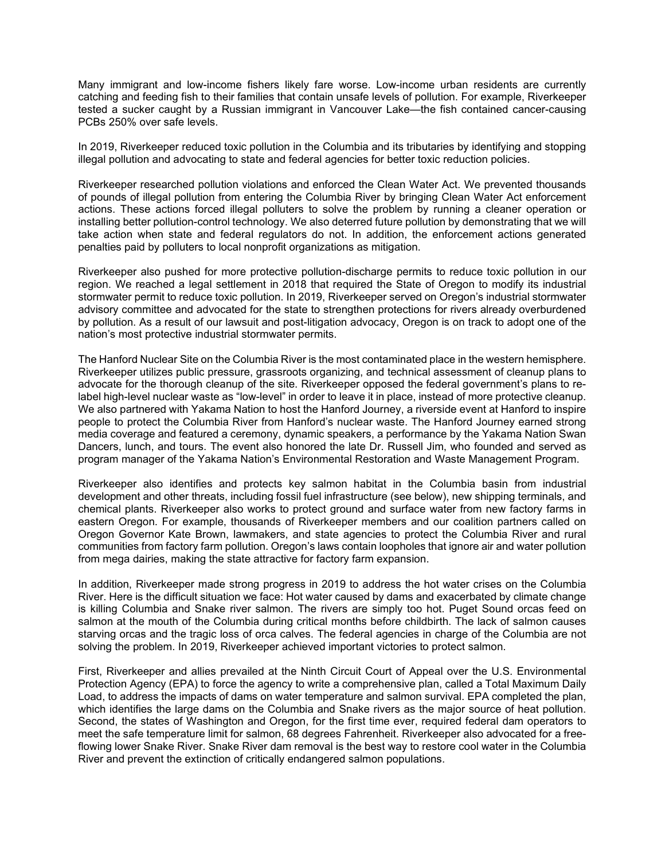Many immigrant and low-income fishers likely fare worse. Low-income urban residents are currently catching and feeding fish to their families that contain unsafe levels of pollution. For example, Riverkeeper tested a sucker caught by a Russian immigrant in Vancouver Lake—the fish contained cancer-causing PCBs 250% over safe levels.

In 2019, Riverkeeper reduced toxic pollution in the Columbia and its tributaries by identifying and stopping illegal pollution and advocating to state and federal agencies for better toxic reduction policies.

Riverkeeper researched pollution violations and enforced the Clean Water Act. We prevented thousands of pounds of illegal pollution from entering the Columbia River by bringing Clean Water Act enforcement actions. These actions forced illegal polluters to solve the problem by running a cleaner operation or installing better pollution-control technology. We also deterred future pollution by demonstrating that we will take action when state and federal regulators do not. In addition, the enforcement actions generated penalties paid by polluters to local nonprofit organizations as mitigation.

Riverkeeper also pushed for more protective pollution-discharge permits to reduce toxic pollution in our region. We reached a legal settlement in 2018 that required the State of Oregon to modify its industrial stormwater permit to reduce toxic pollution. In 2019, Riverkeeper served on Oregon's industrial stormwater advisory committee and advocated for the state to strengthen protections for rivers already overburdened by pollution. As a result of our lawsuit and post-litigation advocacy, Oregon is on track to adopt one of the nation's most protective industrial stormwater permits.

The Hanford Nuclear Site on the Columbia River is the most contaminated place in the western hemisphere. Riverkeeper utilizes public pressure, grassroots organizing, and technical assessment of cleanup plans to advocate for the thorough cleanup of the site. Riverkeeper opposed the federal government's plans to relabel high-level nuclear waste as "low-level" in order to leave it in place, instead of more protective cleanup. We also partnered with Yakama Nation to host the Hanford Journey, a riverside event at Hanford to inspire people to protect the Columbia River from Hanford's nuclear waste. The Hanford Journey earned strong media coverage and featured a ceremony, dynamic speakers, a performance by the Yakama Nation Swan Dancers, lunch, and tours. The event also honored the late Dr. Russell Jim, who founded and served as program manager of the Yakama Nation's Environmental Restoration and Waste Management Program.

Riverkeeper also identifies and protects key salmon habitat in the Columbia basin from industrial development and other threats, including fossil fuel infrastructure (see below), new shipping terminals, and chemical plants. Riverkeeper also works to protect ground and surface water from new factory farms in eastern Oregon. For example, thousands of Riverkeeper members and our coalition partners called on Oregon Governor Kate Brown, lawmakers, and state agencies to protect the Columbia River and rural communities from factory farm pollution. Oregon's laws contain loopholes that ignore air and water pollution from mega dairies, making the state attractive for factory farm expansion.

In addition, Riverkeeper made strong progress in 2019 to address the hot water crises on the Columbia River. Here is the difficult situation we face: Hot water caused by dams and exacerbated by climate change is killing Columbia and Snake river salmon. The rivers are simply too hot. Puget Sound orcas feed on salmon at the mouth of the Columbia during critical months before childbirth. The lack of salmon causes starving orcas and the tragic loss of orca calves. The federal agencies in charge of the Columbia are not solving the problem. In 2019, Riverkeeper achieved important victories to protect salmon.

First, Riverkeeper and allies prevailed at the Ninth Circuit Court of Appeal over the U.S. Environmental Protection Agency (EPA) to force the agency to write a comprehensive plan, called a Total Maximum Daily Load, to address the impacts of dams on water temperature and salmon survival. EPA completed the plan, which identifies the large dams on the Columbia and Snake rivers as the major source of heat pollution. Second, the states of Washington and Oregon, for the first time ever, required federal dam operators to meet the safe temperature limit for salmon, 68 degrees Fahrenheit. Riverkeeper also advocated for a freeflowing lower Snake River. Snake River dam removal is the best way to restore cool water in the Columbia River and prevent the extinction of critically endangered salmon populations.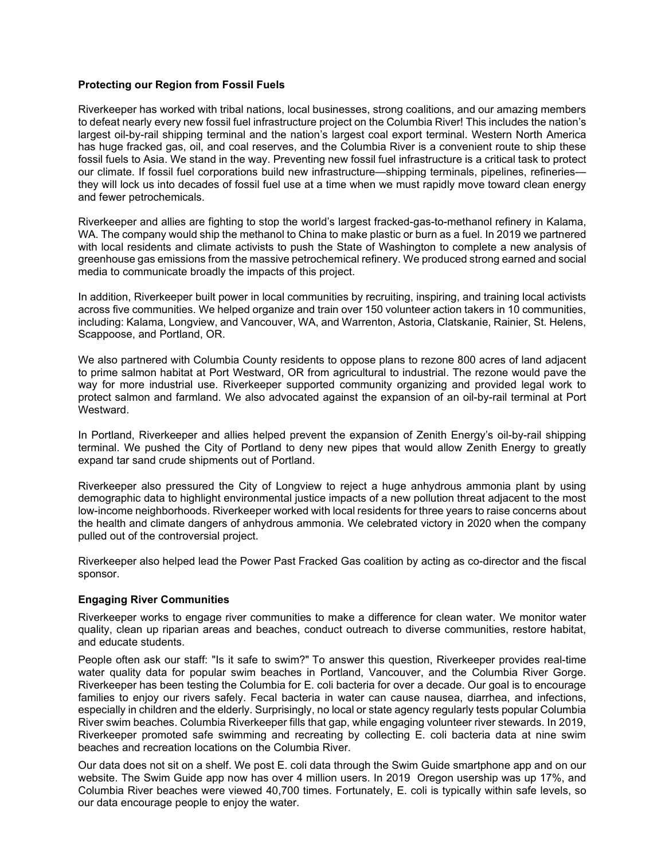# **Protecting our Region from Fossil Fuels**

Riverkeeper has worked with tribal nations, local businesses, strong coalitions, and our amazing members to defeat nearly every new fossil fuel infrastructure project on the Columbia River! This includes the nation's largest oil-by-rail shipping terminal and the nation's largest coal export terminal. Western North America has huge fracked gas, oil, and coal reserves, and the Columbia River is a convenient route to ship these fossil fuels to Asia. We stand in the way. Preventing new fossil fuel infrastructure is a critical task to protect our climate. If fossil fuel corporations build new infrastructure—shipping terminals, pipelines, refineries they will lock us into decades of fossil fuel use at a time when we must rapidly move toward clean energy and fewer petrochemicals.

Riverkeeper and allies are fighting to stop the world's largest fracked-gas-to-methanol refinery in Kalama, WA. The company would ship the methanol to China to make plastic or burn as a fuel. In 2019 we partnered with local residents and climate activists to push the State of Washington to complete a new analysis of greenhouse gas emissions from the massive petrochemical refinery. We produced strong earned and social media to communicate broadly the impacts of this project.

In addition, Riverkeeper built power in local communities by recruiting, inspiring, and training local activists across five communities. We helped organize and train over 150 volunteer action takers in 10 communities, including: Kalama, Longview, and Vancouver, WA, and Warrenton, Astoria, Clatskanie, Rainier, St. Helens, Scappoose, and Portland, OR.

We also partnered with Columbia County residents to oppose plans to rezone 800 acres of land adjacent to prime salmon habitat at Port Westward, OR from agricultural to industrial. The rezone would pave the way for more industrial use. Riverkeeper supported community organizing and provided legal work to protect salmon and farmland. We also advocated against the expansion of an oil-by-rail terminal at Port Westward.

In Portland, Riverkeeper and allies helped prevent the expansion of Zenith Energy's oil-by-rail shipping terminal. We pushed the City of Portland to deny new pipes that would allow Zenith Energy to greatly expand tar sand crude shipments out of Portland.

Riverkeeper also pressured the City of Longview to reject a huge anhydrous ammonia plant by using demographic data to highlight environmental justice impacts of a new pollution threat adjacent to the most low-income neighborhoods. Riverkeeper worked with local residents for three years to raise concerns about the health and climate dangers of anhydrous ammonia. We celebrated victory in 2020 when the company pulled out of the controversial project.

Riverkeeper also helped lead the Power Past Fracked Gas coalition by acting as co-director and the fiscal sponsor.

# **Engaging River Communities**

Riverkeeper works to engage river communities to make a difference for clean water. We monitor water quality, clean up riparian areas and beaches, conduct outreach to diverse communities, restore habitat, and educate students.

People often ask our staff: "Is it safe to swim?" To answer this question, Riverkeeper provides real-time water quality data for popular swim beaches in Portland, Vancouver, and the Columbia River Gorge. Riverkeeper has been testing the Columbia for E. coli bacteria for over a decade. Our goal is to encourage families to enjoy our rivers safely. Fecal bacteria in water can cause nausea, diarrhea, and infections, especially in children and the elderly. Surprisingly, no local or state agency regularly tests popular Columbia River swim beaches. Columbia Riverkeeper fills that gap, while engaging volunteer river stewards. In 2019, Riverkeeper promoted safe swimming and recreating by collecting E. coli bacteria data at nine swim beaches and recreation locations on the Columbia River.

Our data does not sit on a shelf. We post E. coli data through the Swim Guide smartphone app and on our website. The Swim Guide app now has over 4 million users. In 2019 Oregon usership was up 17%, and Columbia River beaches were viewed 40,700 times. Fortunately, E. coli is typically within safe levels, so our data encourage people to enjoy the water.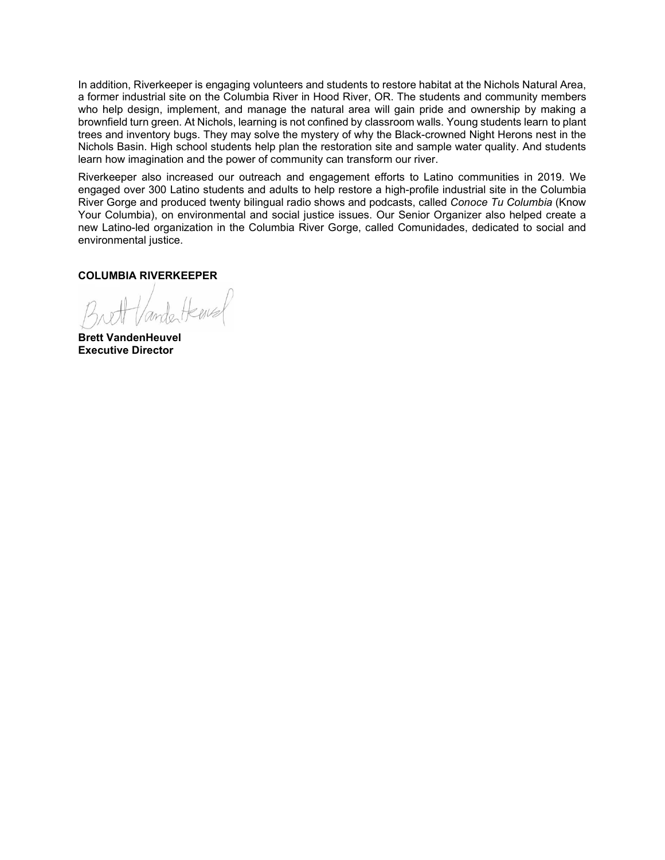In addition, Riverkeeper is engaging volunteers and students to restore habitat at the Nichols Natural Area, a former industrial site on the Columbia River in Hood River, OR. The students and community members who help design, implement, and manage the natural area will gain pride and ownership by making a brownfield turn green. At Nichols, learning is not confined by classroom walls. Young students learn to plant trees and inventory bugs. They may solve the mystery of why the Black-crowned Night Herons nest in the Nichols Basin. High school students help plan the restoration site and sample water quality. And students learn how imagination and the power of community can transform our river.

Riverkeeper also increased our outreach and engagement efforts to Latino communities in 2019. We engaged over 300 Latino students and adults to help restore a high-profile industrial site in the Columbia River Gorge and produced twenty bilingual radio shows and podcasts, called *Conoce Tu Columbia* (Know Your Columbia), on environmental and social justice issues. Our Senior Organizer also helped create a new Latino-led organization in the Columbia River Gorge, called Comunidades, dedicated to social and environmental justice.

**COLUMBIA RIVERKEEPER**

**Brett VandenHeuvel Executive Director**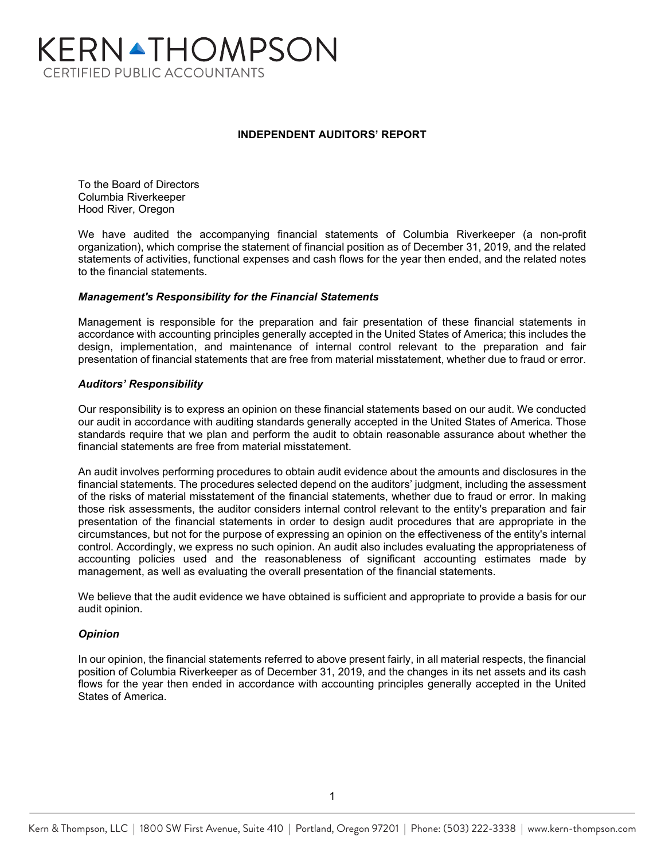# KERNATHOMPSON **CERTIFIED PUBLIC ACCOUNTANTS**

# **INDEPENDENT AUDITORS' REPORT**

To the Board of Directors Columbia Riverkeeper Hood River, Oregon

We have audited the accompanying financial statements of Columbia Riverkeeper (a non-profit organization), which comprise the statement of financial position as of December 31, 2019, and the related statements of activities, functional expenses and cash flows for the year then ended, and the related notes to the financial statements.

# *Management's Responsibility for the Financial Statements*

Management is responsible for the preparation and fair presentation of these financial statements in accordance with accounting principles generally accepted in the United States of America; this includes the design, implementation, and maintenance of internal control relevant to the preparation and fair presentation of financial statements that are free from material misstatement, whether due to fraud or error.

# *Auditors' Responsibility*

Our responsibility is to express an opinion on these financial statements based on our audit. We conducted our audit in accordance with auditing standards generally accepted in the United States of America. Those standards require that we plan and perform the audit to obtain reasonable assurance about whether the financial statements are free from material misstatement.

An audit involves performing procedures to obtain audit evidence about the amounts and disclosures in the financial statements. The procedures selected depend on the auditors' judgment, including the assessment of the risks of material misstatement of the financial statements, whether due to fraud or error. In making those risk assessments, the auditor considers internal control relevant to the entity's preparation and fair presentation of the financial statements in order to design audit procedures that are appropriate in the circumstances, but not for the purpose of expressing an opinion on the effectiveness of the entity's internal control. Accordingly, we express no such opinion. An audit also includes evaluating the appropriateness of accounting policies used and the reasonableness of significant accounting estimates made by management, as well as evaluating the overall presentation of the financial statements.

We believe that the audit evidence we have obtained is sufficient and appropriate to provide a basis for our audit opinion.

# *Opinion*

In our opinion, the financial statements referred to above present fairly, in all material respects, the financial position of Columbia Riverkeeper as of December 31, 2019, and the changes in its net assets and its cash flows for the year then ended in accordance with accounting principles generally accepted in the United States of America.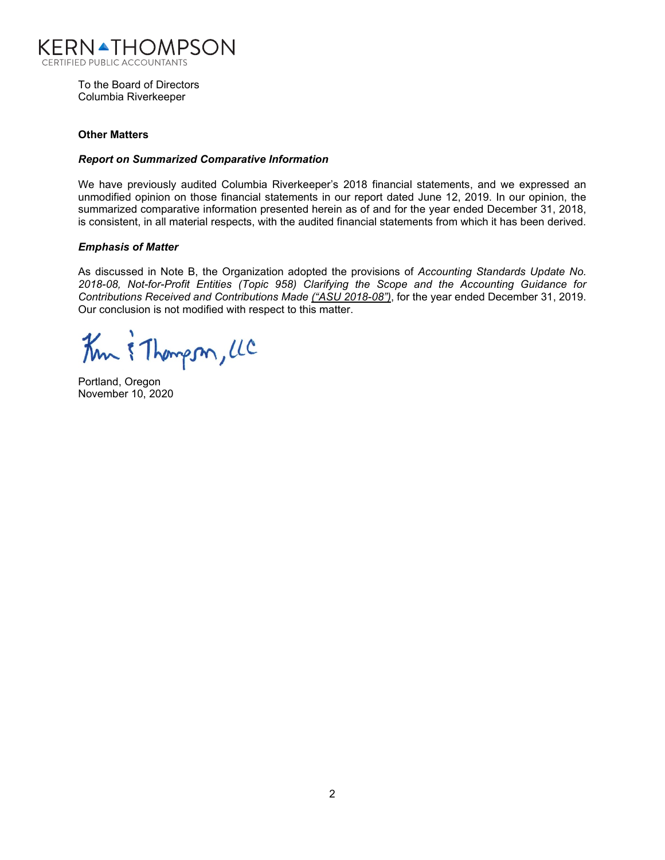

To the Board of Directors Columbia Riverkeeper

# **Other Matters**

# *Report on Summarized Comparative Information*

We have previously audited Columbia Riverkeeper's 2018 financial statements, and we expressed an unmodified opinion on those financial statements in our report dated June 12, 2019. In our opinion, the summarized comparative information presented herein as of and for the year ended December 31, 2018, is consistent, in all material respects, with the audited financial statements from which it has been derived.

# *Emphasis of Matter*

As discussed in Note B, the Organization adopted the provisions of *Accounting Standards Update No. 2018-08, Not-for-Profit Entities (Topic 958) Clarifying the Scope and the Accounting Guidance for Contributions Received and Contributions Made ("ASU 2018-08")*, for the year ended December 31, 2019. Our conclusion is not modified with respect to this matter.

Km & Thompson, LC

Portland, Oregon November 10, 2020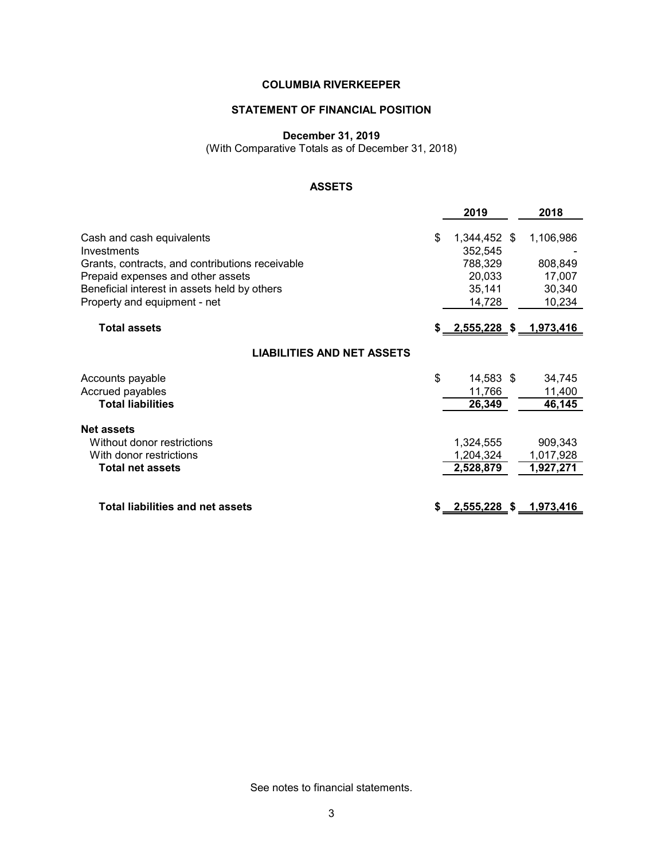# **STATEMENT OF FINANCIAL POSITION**

#### **December 31, 2019**

(With Comparative Totals as of December 31, 2018)

# **ASSETS**

|                                                                                                                                                                                                                  | 2019                                                                   | 2018                                               |
|------------------------------------------------------------------------------------------------------------------------------------------------------------------------------------------------------------------|------------------------------------------------------------------------|----------------------------------------------------|
| Cash and cash equivalents<br>Investments<br>Grants, contracts, and contributions receivable<br>Prepaid expenses and other assets<br>Beneficial interest in assets held by others<br>Property and equipment - net | \$<br>1,344,452 \$<br>352,545<br>788,329<br>20,033<br>35,141<br>14,728 | 1,106,986<br>808,849<br>17,007<br>30,340<br>10,234 |
| <b>Total assets</b>                                                                                                                                                                                              | \$ 2,555,228 \$ 1,973,416                                              |                                                    |
| <b>LIABILITIES AND NET ASSETS</b>                                                                                                                                                                                |                                                                        |                                                    |
| Accounts payable<br>Accrued payables<br><b>Total liabilities</b>                                                                                                                                                 | \$<br>14,583 \$<br>11,766<br>26,349                                    | 34,745<br>11,400<br>46,145                         |
| <b>Net assets</b><br>Without donor restrictions<br>With donor restrictions<br><b>Total net assets</b>                                                                                                            | 1,324,555<br>1,204,324<br>2,528,879                                    | 909,343<br>1,017,928<br>1,927,271                  |
| <b>Total liabilities and net assets</b>                                                                                                                                                                          | <u>2,555,228 \$ 1,973,416</u>                                          |                                                    |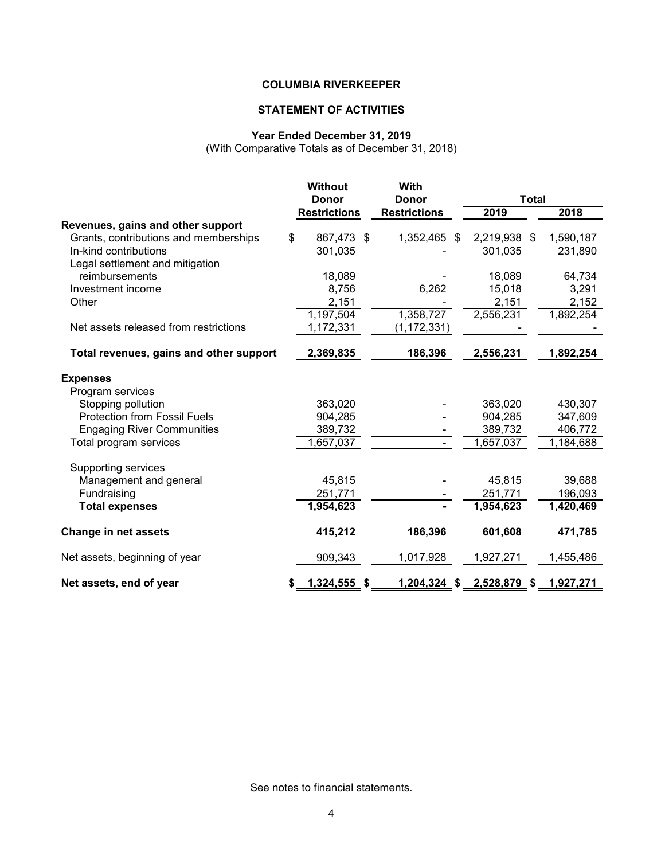# **STATEMENT OF ACTIVITIES**

# **Year Ended December 31, 2019**

(With Comparative Totals as of December 31, 2018)

|                                         | <b>Without</b><br><b>With</b> |                     |                     |                 |           |  |  |
|-----------------------------------------|-------------------------------|---------------------|---------------------|-----------------|-----------|--|--|
|                                         | <b>Donor</b>                  |                     | <b>Donor</b>        | <b>Total</b>    |           |  |  |
|                                         |                               | <b>Restrictions</b> | <b>Restrictions</b> | 2019            | 2018      |  |  |
| Revenues, gains and other support       |                               |                     |                     |                 |           |  |  |
| Grants, contributions and memberships   | \$                            | 867,473 \$          | 1,352,465<br>\$     | 2,219,938<br>\$ | 1,590,187 |  |  |
| In-kind contributions                   |                               | 301,035             |                     | 301,035         | 231,890   |  |  |
| Legal settlement and mitigation         |                               |                     |                     |                 |           |  |  |
| reimbursements                          |                               | 18,089              |                     | 18,089          | 64,734    |  |  |
| Investment income                       |                               | 8,756               | 6,262               | 15,018          | 3,291     |  |  |
| Other                                   |                               | 2,151               |                     | 2,151           | 2,152     |  |  |
|                                         |                               | 1,197,504           | 1,358,727           | 2,556,231       | 1,892,254 |  |  |
| Net assets released from restrictions   |                               | 1,172,331           | (1, 172, 331)       |                 |           |  |  |
| Total revenues, gains and other support |                               | 2,369,835           | 186,396             | 2,556,231       | 1,892,254 |  |  |
| <b>Expenses</b>                         |                               |                     |                     |                 |           |  |  |
| Program services                        |                               |                     |                     |                 |           |  |  |
| Stopping pollution                      |                               | 363,020             |                     | 363,020         | 430,307   |  |  |
| <b>Protection from Fossil Fuels</b>     |                               | 904,285             |                     | 904,285         | 347,609   |  |  |
| <b>Engaging River Communities</b>       |                               | 389,732             |                     | 389,732         | 406,772   |  |  |
| Total program services                  |                               | 1,657,037           |                     | 1,657,037       | 1,184,688 |  |  |
| Supporting services                     |                               |                     |                     |                 |           |  |  |
| Management and general                  |                               | 45,815              |                     | 45,815          | 39,688    |  |  |
| Fundraising                             |                               | 251,771             |                     | 251,771         | 196,093   |  |  |
| <b>Total expenses</b>                   |                               | 1,954,623           |                     | 1,954,623       | 1,420,469 |  |  |
| <b>Change in net assets</b>             |                               | 415,212             | 186,396             | 601,608         | 471,785   |  |  |
| Net assets, beginning of year           |                               | 909,343             | 1,017,928           | 1,927,271       | 1,455,486 |  |  |
| Net assets, end of year                 | S                             | $1,324,555$ \$      | 1,204,324 \$        | 2,528,879 \$    | 1,927,271 |  |  |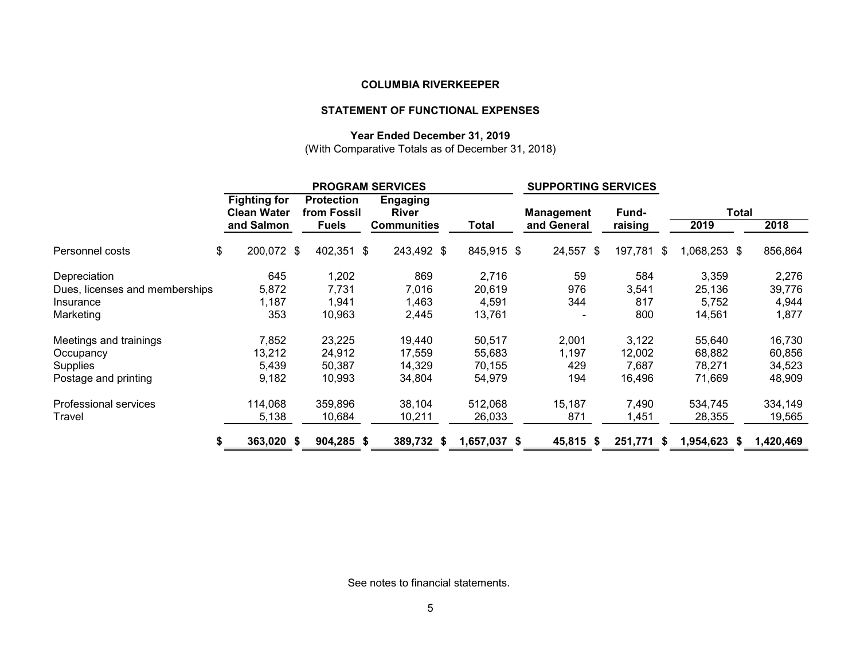# **STATEMENT OF FUNCTIONAL EXPENSES**

## **Year Ended December 31, 2019**

(With Comparative Totals as of December 31, 2018)

|                                | <b>PROGRAM SERVICES</b>                   |                                  |                                 | <b>SUPPORTING SERVICES</b> |                   |                 |              |           |
|--------------------------------|-------------------------------------------|----------------------------------|---------------------------------|----------------------------|-------------------|-----------------|--------------|-----------|
|                                | <b>Fighting for</b><br><b>Clean Water</b> | <b>Protection</b><br>from Fossil | <b>Engaging</b><br><b>River</b> |                            | <b>Management</b> | Fund-           | Total        |           |
|                                | and Salmon                                | <b>Fuels</b>                     | <b>Communities</b>              | Total                      | and General       | raising         | 2019         | 2018      |
| Personnel costs                | \$<br>200,072 \$                          | 402,351 \$                       | 243,492 \$                      | 845,915 \$                 | 24,557 \$         | 197,781<br>- \$ | 1,068,253 \$ | 856,864   |
| Depreciation                   | 645                                       | 1,202                            | 869                             | 2,716                      | 59                | 584             | 3,359        | 2,276     |
| Dues, licenses and memberships | 5,872                                     | 7,731                            | 7,016                           | 20,619                     | 976               | 3,541           | 25,136       | 39,776    |
| Insurance                      | 1,187                                     | 1,941                            | 1,463                           | 4,591                      | 344               | 817             | 5,752        | 4,944     |
| Marketing                      | 353                                       | 10,963                           | 2,445                           | 13,761                     |                   | 800             | 14,561       | 1,877     |
| Meetings and trainings         | 7,852                                     | 23,225                           | 19,440                          | 50,517                     | 2,001             | 3,122           | 55,640       | 16,730    |
| Occupancy                      | 13,212                                    | 24,912                           | 17,559                          | 55,683                     | 1,197             | 12,002          | 68,882       | 60,856    |
| <b>Supplies</b>                | 5,439                                     | 50,387                           | 14,329                          | 70,155                     | 429               | 7,687           | 78,271       | 34,523    |
| Postage and printing           | 9,182                                     | 10,993                           | 34,804                          | 54,979                     | 194               | 16,496          | 71,669       | 48,909    |
| Professional services          | 114,068                                   | 359,896                          | 38,104                          | 512,068                    | 15,187            | 7,490           | 534,745      | 334,149   |
| Travel                         | 5,138                                     | 10,684                           | 10,211                          | 26,033                     | 871               | 1,451           | 28,355       | 19,565    |
|                                | 363,020 \$<br>\$                          | $904,285$ \$                     | 389,732 \$                      | 1,657,037 \$               | 45,815 \$         | 251,771<br>-S   | 1,954,623 \$ | 1,420,469 |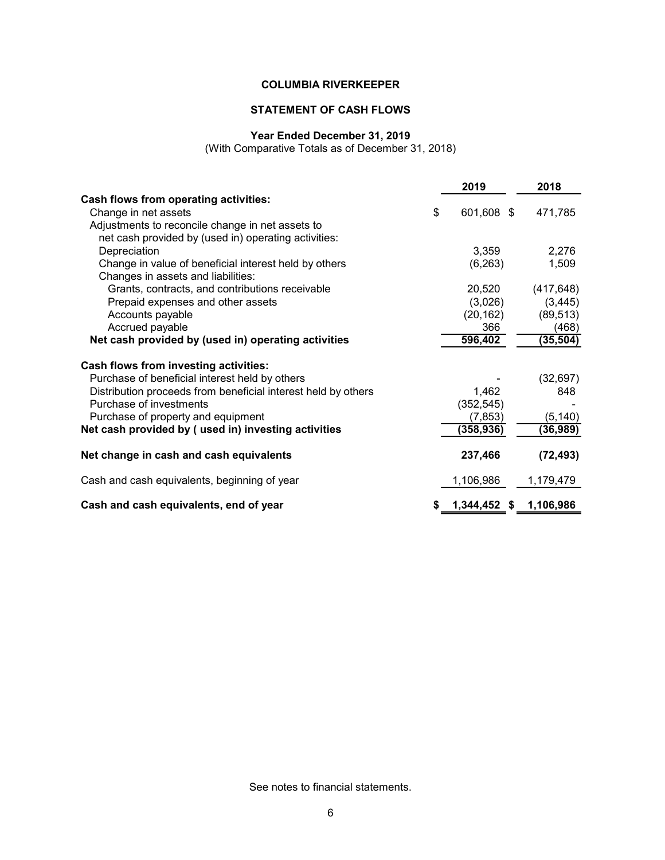# **STATEMENT OF CASH FLOWS**

#### **Year Ended December 31, 2019**

(With Comparative Totals as of December 31, 2018)

|                                                               | 2019             | 2018       |
|---------------------------------------------------------------|------------------|------------|
| Cash flows from operating activities:                         |                  |            |
| Change in net assets                                          | \$<br>601,608 \$ | 471,785    |
| Adjustments to reconcile change in net assets to              |                  |            |
| net cash provided by (used in) operating activities:          |                  |            |
| Depreciation                                                  | 3,359            | 2,276      |
| Change in value of beneficial interest held by others         | (6, 263)         | 1,509      |
| Changes in assets and liabilities:                            |                  |            |
| Grants, contracts, and contributions receivable               | 20,520           | (417, 648) |
| Prepaid expenses and other assets                             | (3,026)          | (3, 445)   |
| Accounts payable                                              | (20, 162)        | (89, 513)  |
| Accrued payable                                               | 366              | (468)      |
| Net cash provided by (used in) operating activities           | 596,402          | (35, 504)  |
|                                                               |                  |            |
| Cash flows from investing activities:                         |                  |            |
| Purchase of beneficial interest held by others                |                  | (32, 697)  |
| Distribution proceeds from beneficial interest held by others | 1,462            | 848        |
| Purchase of investments                                       | (352, 545)       |            |
| Purchase of property and equipment                            | (7, 853)         | (5, 140)   |
| Net cash provided by (used in) investing activities           | (358,936)        | (36,989)   |
|                                                               | 237,466          |            |
| Net change in cash and cash equivalents                       |                  | (72, 493)  |
| Cash and cash equivalents, beginning of year                  | 1,106,986        | 1,179,479  |
| Cash and cash equivalents, end of year                        | 1,344,452 \$     | 1,106,986  |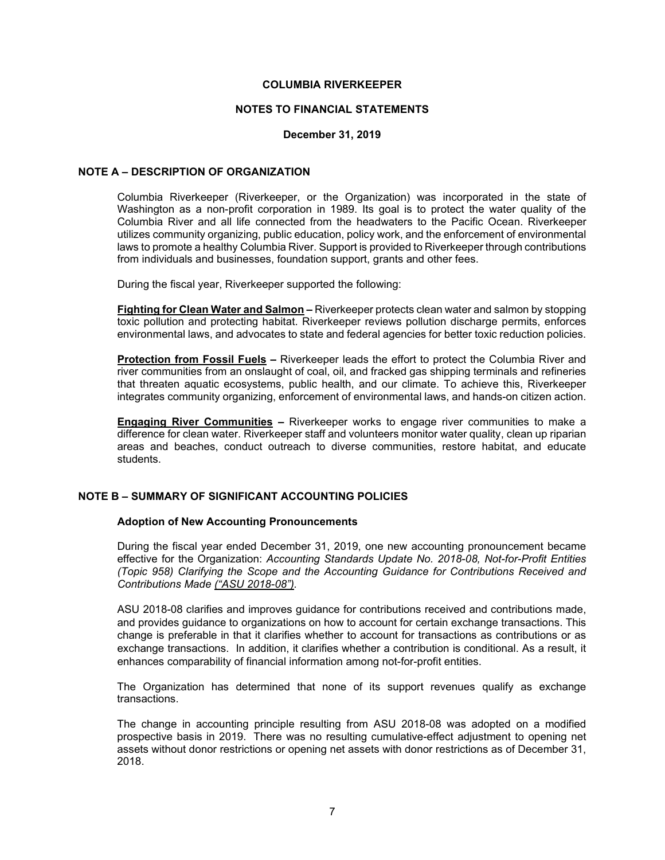#### **NOTES TO FINANCIAL STATEMENTS**

#### **December 31, 2019**

#### **NOTE A – DESCRIPTION OF ORGANIZATION**

Columbia Riverkeeper (Riverkeeper, or the Organization) was incorporated in the state of Washington as a non-profit corporation in 1989. Its goal is to protect the water quality of the Columbia River and all life connected from the headwaters to the Pacific Ocean. Riverkeeper utilizes community organizing, public education, policy work, and the enforcement of environmental laws to promote a healthy Columbia River. Support is provided to Riverkeeper through contributions from individuals and businesses, foundation support, grants and other fees.

During the fiscal year, Riverkeeper supported the following:

**Fighting for Clean Water and Salmon –** Riverkeeper protects clean water and salmon by stopping toxic pollution and protecting habitat. Riverkeeper reviews pollution discharge permits, enforces environmental laws, and advocates to state and federal agencies for better toxic reduction policies.

**Protection from Fossil Fuels –** Riverkeeper leads the effort to protect the Columbia River and river communities from an onslaught of coal, oil, and fracked gas shipping terminals and refineries that threaten aquatic ecosystems, public health, and our climate. To achieve this, Riverkeeper integrates community organizing, enforcement of environmental laws, and hands-on citizen action.

**Engaging River Communities –** Riverkeeper works to engage river communities to make a difference for clean water. Riverkeeper staff and volunteers monitor water quality, clean up riparian areas and beaches, conduct outreach to diverse communities, restore habitat, and educate students.

# **NOTE B – SUMMARY OF SIGNIFICANT ACCOUNTING POLICIES**

#### **Adoption of New Accounting Pronouncements**

During the fiscal year ended December 31, 2019, one new accounting pronouncement became effective for the Organization: *Accounting Standards Update No. 2018-08, Not-for-Profit Entities (Topic 958) Clarifying the Scope and the Accounting Guidance for Contributions Received and Contributions Made ("ASU 2018-08").*

ASU 2018-08 clarifies and improves guidance for contributions received and contributions made, and provides guidance to organizations on how to account for certain exchange transactions. This change is preferable in that it clarifies whether to account for transactions as contributions or as exchange transactions. In addition, it clarifies whether a contribution is conditional. As a result, it enhances comparability of financial information among not-for-profit entities.

The Organization has determined that none of its support revenues qualify as exchange transactions.

The change in accounting principle resulting from ASU 2018-08 was adopted on a modified prospective basis in 2019. There was no resulting cumulative-effect adjustment to opening net assets without donor restrictions or opening net assets with donor restrictions as of December 31, 2018.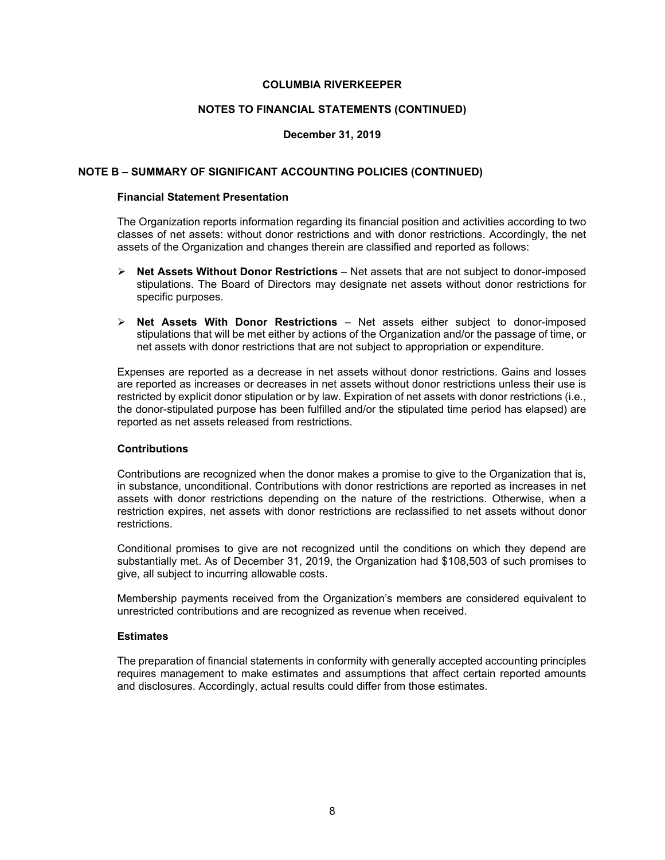#### **NOTES TO FINANCIAL STATEMENTS (CONTINUED)**

## **December 31, 2019**

#### **NOTE B – SUMMARY OF SIGNIFICANT ACCOUNTING POLICIES (CONTINUED)**

# **Financial Statement Presentation**

The Organization reports information regarding its financial position and activities according to two classes of net assets: without donor restrictions and with donor restrictions. Accordingly, the net assets of the Organization and changes therein are classified and reported as follows:

- **Net Assets Without Donor Restrictions**  Net assets that are not subject to donor-imposed stipulations. The Board of Directors may designate net assets without donor restrictions for specific purposes.
- **Net Assets With Donor Restrictions** Net assets either subject to donor-imposed stipulations that will be met either by actions of the Organization and/or the passage of time, or net assets with donor restrictions that are not subject to appropriation or expenditure.

Expenses are reported as a decrease in net assets without donor restrictions. Gains and losses are reported as increases or decreases in net assets without donor restrictions unless their use is restricted by explicit donor stipulation or by law. Expiration of net assets with donor restrictions (i.e., the donor-stipulated purpose has been fulfilled and/or the stipulated time period has elapsed) are reported as net assets released from restrictions.

# **Contributions**

Contributions are recognized when the donor makes a promise to give to the Organization that is, in substance, unconditional. Contributions with donor restrictions are reported as increases in net assets with donor restrictions depending on the nature of the restrictions. Otherwise, when a restriction expires, net assets with donor restrictions are reclassified to net assets without donor restrictions.

Conditional promises to give are not recognized until the conditions on which they depend are substantially met. As of December 31, 2019, the Organization had \$108,503 of such promises to give, all subject to incurring allowable costs.

Membership payments received from the Organization's members are considered equivalent to unrestricted contributions and are recognized as revenue when received.

#### **Estimates**

The preparation of financial statements in conformity with generally accepted accounting principles requires management to make estimates and assumptions that affect certain reported amounts and disclosures. Accordingly, actual results could differ from those estimates.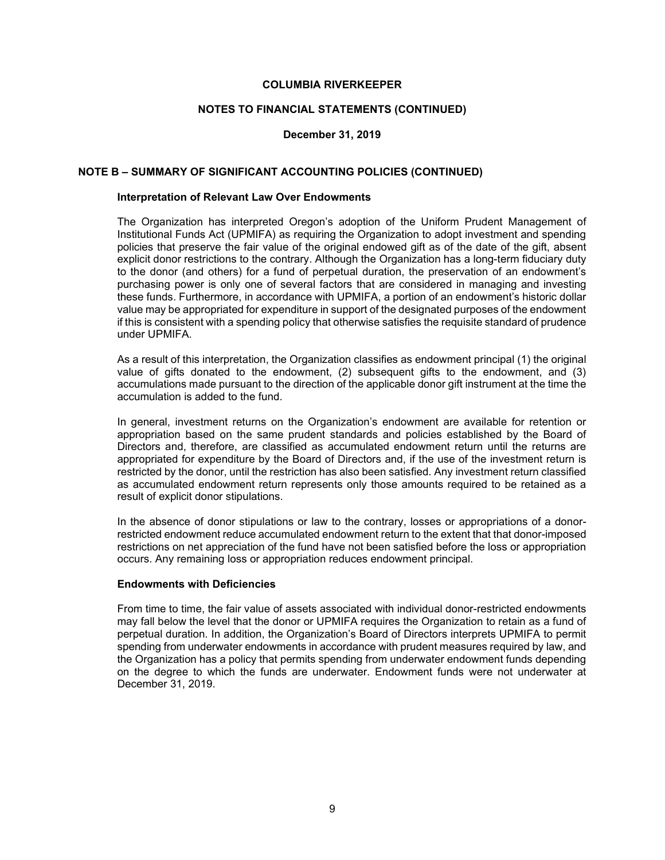#### **NOTES TO FINANCIAL STATEMENTS (CONTINUED)**

## **December 31, 2019**

#### **NOTE B – SUMMARY OF SIGNIFICANT ACCOUNTING POLICIES (CONTINUED)**

# **Interpretation of Relevant Law Over Endowments**

The Organization has interpreted Oregon's adoption of the Uniform Prudent Management of Institutional Funds Act (UPMIFA) as requiring the Organization to adopt investment and spending policies that preserve the fair value of the original endowed gift as of the date of the gift, absent explicit donor restrictions to the contrary. Although the Organization has a long-term fiduciary duty to the donor (and others) for a fund of perpetual duration, the preservation of an endowment's purchasing power is only one of several factors that are considered in managing and investing these funds. Furthermore, in accordance with UPMIFA, a portion of an endowment's historic dollar value may be appropriated for expenditure in support of the designated purposes of the endowment if this is consistent with a spending policy that otherwise satisfies the requisite standard of prudence under UPMIFA.

As a result of this interpretation, the Organization classifies as endowment principal (1) the original value of gifts donated to the endowment, (2) subsequent gifts to the endowment, and (3) accumulations made pursuant to the direction of the applicable donor gift instrument at the time the accumulation is added to the fund.

In general, investment returns on the Organization's endowment are available for retention or appropriation based on the same prudent standards and policies established by the Board of Directors and, therefore, are classified as accumulated endowment return until the returns are appropriated for expenditure by the Board of Directors and, if the use of the investment return is restricted by the donor, until the restriction has also been satisfied. Any investment return classified as accumulated endowment return represents only those amounts required to be retained as a result of explicit donor stipulations.

In the absence of donor stipulations or law to the contrary, losses or appropriations of a donorrestricted endowment reduce accumulated endowment return to the extent that that donor-imposed restrictions on net appreciation of the fund have not been satisfied before the loss or appropriation occurs. Any remaining loss or appropriation reduces endowment principal.

#### **Endowments with Deficiencies**

From time to time, the fair value of assets associated with individual donor-restricted endowments may fall below the level that the donor or UPMIFA requires the Organization to retain as a fund of perpetual duration. In addition, the Organization's Board of Directors interprets UPMIFA to permit spending from underwater endowments in accordance with prudent measures required by law, and the Organization has a policy that permits spending from underwater endowment funds depending on the degree to which the funds are underwater. Endowment funds were not underwater at December 31, 2019.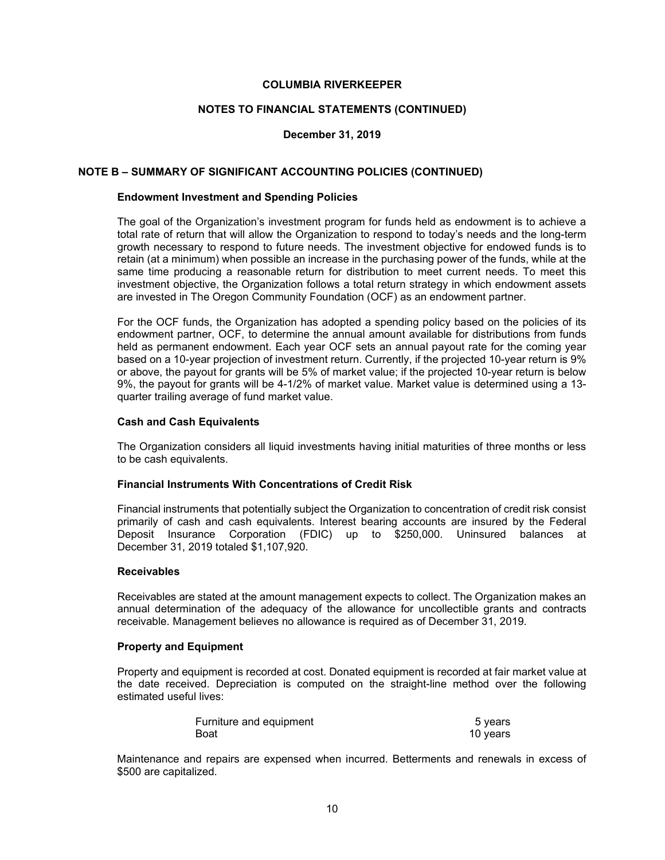#### **NOTES TO FINANCIAL STATEMENTS (CONTINUED)**

## **December 31, 2019**

#### **NOTE B – SUMMARY OF SIGNIFICANT ACCOUNTING POLICIES (CONTINUED)**

#### **Endowment Investment and Spending Policies**

The goal of the Organization's investment program for funds held as endowment is to achieve a total rate of return that will allow the Organization to respond to today's needs and the long-term growth necessary to respond to future needs. The investment objective for endowed funds is to retain (at a minimum) when possible an increase in the purchasing power of the funds, while at the same time producing a reasonable return for distribution to meet current needs. To meet this investment objective, the Organization follows a total return strategy in which endowment assets are invested in The Oregon Community Foundation (OCF) as an endowment partner.

For the OCF funds, the Organization has adopted a spending policy based on the policies of its endowment partner, OCF, to determine the annual amount available for distributions from funds held as permanent endowment. Each year OCF sets an annual payout rate for the coming year based on a 10-year projection of investment return. Currently, if the projected 10-year return is 9% or above, the payout for grants will be 5% of market value; if the projected 10-year return is below 9%, the payout for grants will be 4-1/2% of market value. Market value is determined using a 13 quarter trailing average of fund market value.

#### **Cash and Cash Equivalents**

The Organization considers all liquid investments having initial maturities of three months or less to be cash equivalents.

## **Financial Instruments With Concentrations of Credit Risk**

Financial instruments that potentially subject the Organization to concentration of credit risk consist primarily of cash and cash equivalents. Interest bearing accounts are insured by the Federal Deposit Insurance Corporation (FDIC) up to \$250,000. Uninsured balances at December 31, 2019 totaled \$1,107,920.

#### **Receivables**

Receivables are stated at the amount management expects to collect. The Organization makes an annual determination of the adequacy of the allowance for uncollectible grants and contracts receivable. Management believes no allowance is required as of December 31, 2019.

#### **Property and Equipment**

Property and equipment is recorded at cost. Donated equipment is recorded at fair market value at the date received. Depreciation is computed on the straight-line method over the following estimated useful lives:

| Furniture and equipment | 5 years  |
|-------------------------|----------|
| Boat                    | 10 years |

Maintenance and repairs are expensed when incurred. Betterments and renewals in excess of \$500 are capitalized.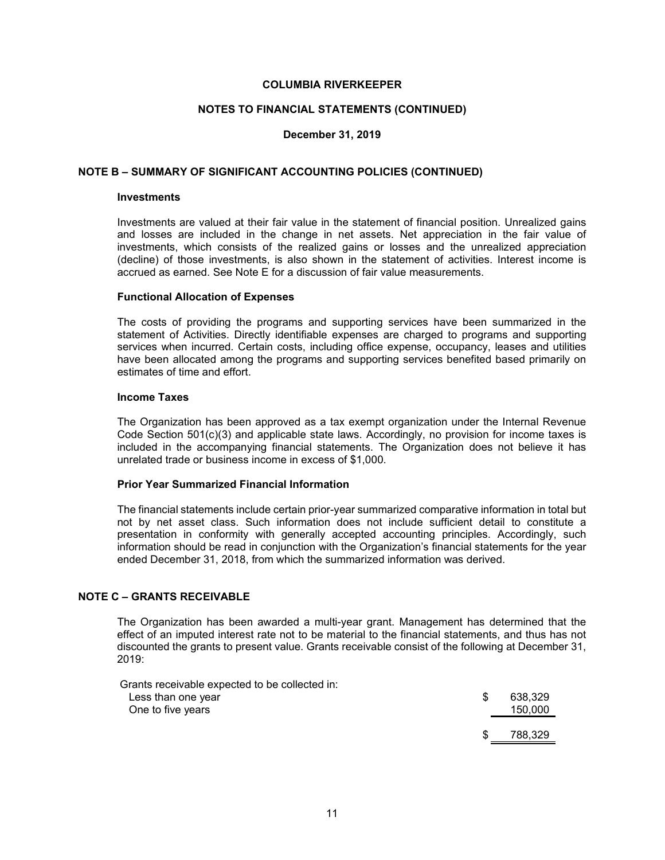#### **NOTES TO FINANCIAL STATEMENTS (CONTINUED)**

## **December 31, 2019**

#### **NOTE B – SUMMARY OF SIGNIFICANT ACCOUNTING POLICIES (CONTINUED)**

#### **Investments**

Investments are valued at their fair value in the statement of financial position. Unrealized gains and losses are included in the change in net assets. Net appreciation in the fair value of investments, which consists of the realized gains or losses and the unrealized appreciation (decline) of those investments, is also shown in the statement of activities. Interest income is accrued as earned. See Note E for a discussion of fair value measurements.

#### **Functional Allocation of Expenses**

The costs of providing the programs and supporting services have been summarized in the statement of Activities. Directly identifiable expenses are charged to programs and supporting services when incurred. Certain costs, including office expense, occupancy, leases and utilities have been allocated among the programs and supporting services benefited based primarily on estimates of time and effort.

#### **Income Taxes**

The Organization has been approved as a tax exempt organization under the Internal Revenue Code Section 501(c)(3) and applicable state laws. Accordingly, no provision for income taxes is included in the accompanying financial statements. The Organization does not believe it has unrelated trade or business income in excess of \$1,000.

# **Prior Year Summarized Financial Information**

The financial statements include certain prior-year summarized comparative information in total but not by net asset class. Such information does not include sufficient detail to constitute a presentation in conformity with generally accepted accounting principles. Accordingly, such information should be read in conjunction with the Organization's financial statements for the year ended December 31, 2018, from which the summarized information was derived.

# **NOTE C – GRANTS RECEIVABLE**

The Organization has been awarded a multi-year grant. Management has determined that the effect of an imputed interest rate not to be material to the financial statements, and thus has not discounted the grants to present value. Grants receivable consist of the following at December 31, 2019:

Grants receivable expected to be collected in:

| Less than one year<br>One to five years | \$. | 638,329<br>150,000 |
|-----------------------------------------|-----|--------------------|
|                                         | -S  | 788,329            |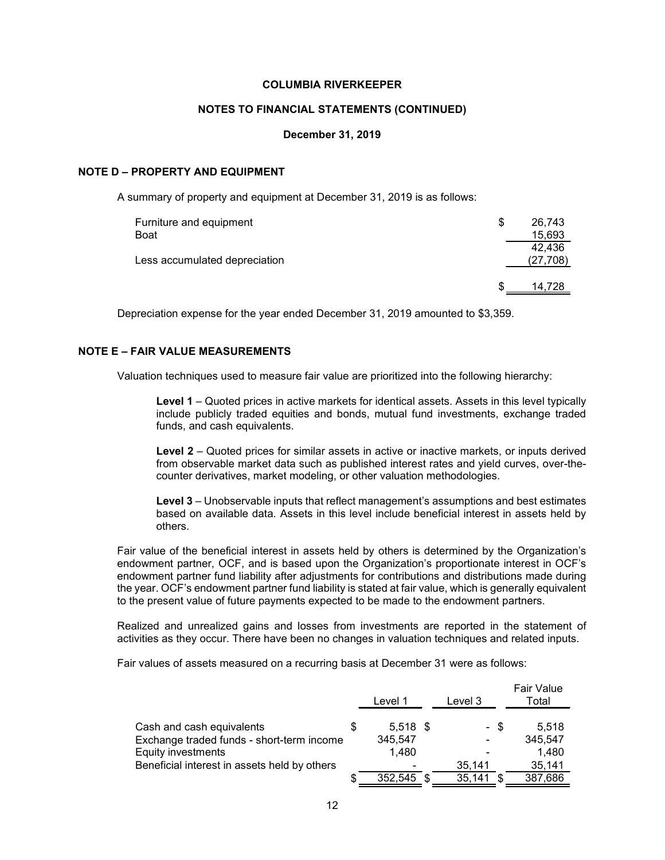#### **NOTES TO FINANCIAL STATEMENTS (CONTINUED)**

#### **December 31, 2019**

#### **NOTE D – PROPERTY AND EQUIPMENT**

A summary of property and equipment at December 31, 2019 is as follows:

| Furniture and equipment       | S | 26.743           |
|-------------------------------|---|------------------|
| Boat                          |   | 15,693<br>42.436 |
| Less accumulated depreciation |   | (27, 708)        |
|                               |   | 14.728           |

Depreciation expense for the year ended December 31, 2019 amounted to \$3,359.

# **NOTE E – FAIR VALUE MEASUREMENTS**

Valuation techniques used to measure fair value are prioritized into the following hierarchy:

**Level 1** – Quoted prices in active markets for identical assets. Assets in this level typically include publicly traded equities and bonds, mutual fund investments, exchange traded funds, and cash equivalents.

**Level 2** – Quoted prices for similar assets in active or inactive markets, or inputs derived from observable market data such as published interest rates and yield curves, over-thecounter derivatives, market modeling, or other valuation methodologies.

**Level 3** – Unobservable inputs that reflect management's assumptions and best estimates based on available data. Assets in this level include beneficial interest in assets held by others.

Fair value of the beneficial interest in assets held by others is determined by the Organization's endowment partner, OCF, and is based upon the Organization's proportionate interest in OCF's endowment partner fund liability after adjustments for contributions and distributions made during the year. OCF's endowment partner fund liability is stated at fair value, which is generally equivalent to the present value of future payments expected to be made to the endowment partners.

Realized and unrealized gains and losses from investments are reported in the statement of activities as they occur. There have been no changes in valuation techniques and related inputs.

Fair values of assets measured on a recurring basis at December 31 were as follows:

|                                              | Level 1    | Level 3 |    | <b>Fair Value</b><br>Total |
|----------------------------------------------|------------|---------|----|----------------------------|
| Cash and cash equivalents                    | $5,518$ \$ | - \$    |    | 5.518                      |
| Exchange traded funds - short-term income    | 345,547    | -       |    | 345,547                    |
| Equity investments                           | 1.480      |         |    | 1.480                      |
| Beneficial interest in assets held by others |            | 35,141  |    | 35,141                     |
|                                              | 352.545    | 35,141  | £. | 387,686                    |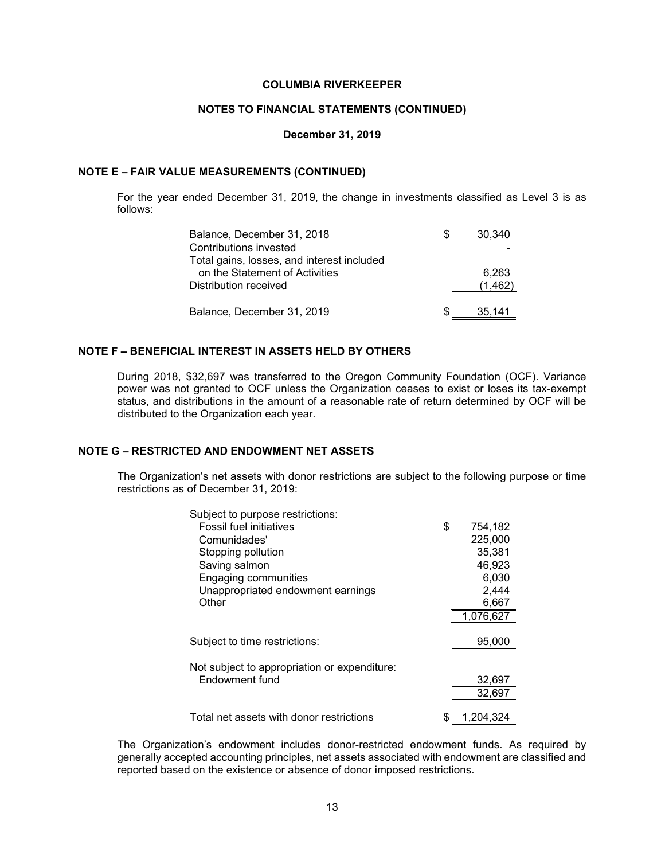#### **NOTES TO FINANCIAL STATEMENTS (CONTINUED)**

#### **December 31, 2019**

#### **NOTE E – FAIR VALUE MEASUREMENTS (CONTINUED)**

For the year ended December 31, 2019, the change in investments classified as Level 3 is as follows:

| Balance, December 31, 2018                 | 30.340   |
|--------------------------------------------|----------|
| Contributions invested                     |          |
| Total gains, losses, and interest included |          |
| on the Statement of Activities             | 6.263    |
| Distribution received                      | (1, 462) |
|                                            |          |
| Balance, December 31, 2019                 | 35.141   |
|                                            |          |

## **NOTE F – BENEFICIAL INTEREST IN ASSETS HELD BY OTHERS**

During 2018, \$32,697 was transferred to the Oregon Community Foundation (OCF). Variance power was not granted to OCF unless the Organization ceases to exist or loses its tax-exempt status, and distributions in the amount of a reasonable rate of return determined by OCF will be distributed to the Organization each year.

# **NOTE G – RESTRICTED AND ENDOWMENT NET ASSETS**

The Organization's net assets with donor restrictions are subject to the following purpose or time restrictions as of December 31, 2019:

| Subject to purpose restrictions:             |               |
|----------------------------------------------|---------------|
| <b>Fossil fuel initiatives</b>               | \$<br>754,182 |
| Comunidades'                                 | 225,000       |
| Stopping pollution                           | 35,381        |
| Saving salmon                                | 46,923        |
| Engaging communities                         | 6,030         |
| Unappropriated endowment earnings            | 2,444         |
| Other                                        | 6,667         |
|                                              | 1.076.627     |
|                                              |               |
| Subject to time restrictions:                | 95,000        |
|                                              |               |
| Not subject to appropriation or expenditure: |               |
| Endowment fund                               | 32,697        |
|                                              | 32,697        |
|                                              |               |
| Total net assets with donor restrictions     | 1,204,324     |

The Organization's endowment includes donor-restricted endowment funds. As required by generally accepted accounting principles, net assets associated with endowment are classified and reported based on the existence or absence of donor imposed restrictions.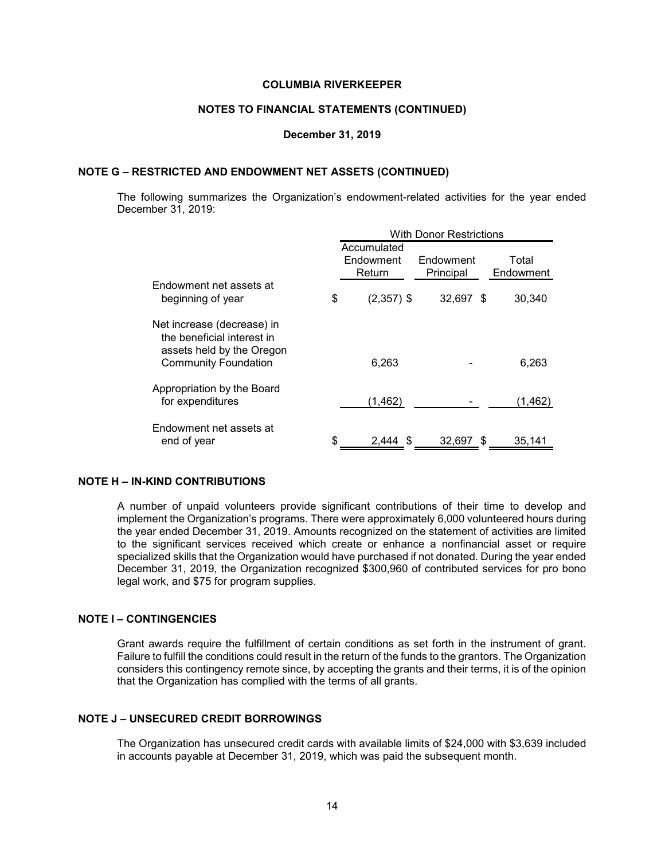#### **NOTES TO FINANCIAL STATEMENTS (CONTINUED)**

#### **December 31, 2019**

#### **NOTE G – RESTRICTED AND ENDOWMENT NET ASSETS (CONTINUED)**

The following summarizes the Organization's endowment-related activities for the year ended December 31, 2019:

|                                                                                                                      | <b>With Donor Restrictions</b> |           |  |           |
|----------------------------------------------------------------------------------------------------------------------|--------------------------------|-----------|--|-----------|
|                                                                                                                      | Accumulated                    |           |  |           |
|                                                                                                                      | Endowment                      | Endowment |  | Total     |
|                                                                                                                      | Return                         | Principal |  | Endowment |
| Endowment net assets at<br>beginning of year                                                                         | \$<br>$(2,357)$ \$             | 32,697 \$ |  | 30,340    |
|                                                                                                                      |                                |           |  |           |
| Net increase (decrease) in<br>the beneficial interest in<br>assets held by the Oregon<br><b>Community Foundation</b> | 6.263                          |           |  | 6,263     |
| Appropriation by the Board<br>for expenditures                                                                       | (1, 462)                       |           |  | (1,462)   |
| Endowment net assets at<br>end of year                                                                               | \$<br>2.444                    | 32,697 \$ |  | 35,141    |

#### **NOTE H – IN-KIND CONTRIBUTIONS**

A number of unpaid volunteers provide significant contributions of their time to develop and implement the Organization's programs. There were approximately 6,000 volunteered hours during the year ended December 31, 2019. Amounts recognized on the statement of activities are limited to the significant services received which create or enhance a nonfinancial asset or require specialized skills that the Organization would have purchased if not donated. During the year ended December 31, 2019, the Organization recognized \$300,960 of contributed services for pro bono legal work, and \$75 for program supplies.

#### **NOTE I – CONTINGENCIES**

Grant awards require the fulfillment of certain conditions as set forth in the instrument of grant. Failure to fulfill the conditions could result in the return of the funds to the grantors. The Organization considers this contingency remote since, by accepting the grants and their terms, it is of the opinion that the Organization has complied with the terms of all grants.

# **NOTE J – UNSECURED CREDIT BORROWINGS**

The Organization has unsecured credit cards with available limits of \$24,000 with \$3,639 included in accounts payable at December 31, 2019, which was paid the subsequent month.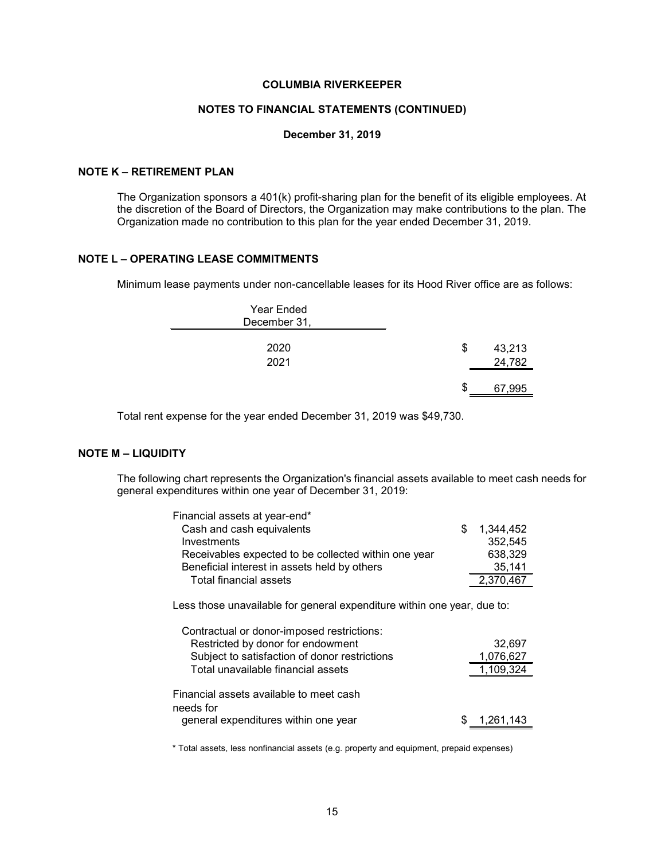#### **NOTES TO FINANCIAL STATEMENTS (CONTINUED)**

#### **December 31, 2019**

# **NOTE K – RETIREMENT PLAN**

The Organization sponsors a 401(k) profit-sharing plan for the benefit of its eligible employees. At the discretion of the Board of Directors, the Organization may make contributions to the plan. The Organization made no contribution to this plan for the year ended December 31, 2019.

# **NOTE L – OPERATING LEASE COMMITMENTS**

Minimum lease payments under non-cancellable leases for its Hood River office are as follows:

| Year Ended<br>December 31, |     |                  |
|----------------------------|-----|------------------|
| 2020<br>2021               | \$  | 43,213<br>24,782 |
|                            | \$. | 67,995           |

Total rent expense for the year ended December 31, 2019 was \$49,730.

# **NOTE M – LIQUIDITY**

The following chart represents the Organization's financial assets available to meet cash needs for general expenditures within one year of December 31, 2019:

| Financial assets at year-end*                        |           |
|------------------------------------------------------|-----------|
| Cash and cash equivalents                            | 1,344,452 |
| Investments                                          | 352,545   |
| Receivables expected to be collected within one year | 638,329   |
| Beneficial interest in assets held by others         | 35,141    |
| Total financial assets                               | 2,370,467 |
|                                                      |           |

Less those unavailable for general expenditure within one year, due to:

| Contractual or donor-imposed restrictions:           |           |
|------------------------------------------------------|-----------|
| Restricted by donor for endowment                    | 32,697    |
| Subject to satisfaction of donor restrictions        | 1,076,627 |
| Total unavailable financial assets                   | 1,109,324 |
| Financial assets available to meet cash<br>needs for |           |
| general expenditures within one year                 | 1,261,143 |

\* Total assets, less nonfinancial assets (e.g. property and equipment, prepaid expenses)